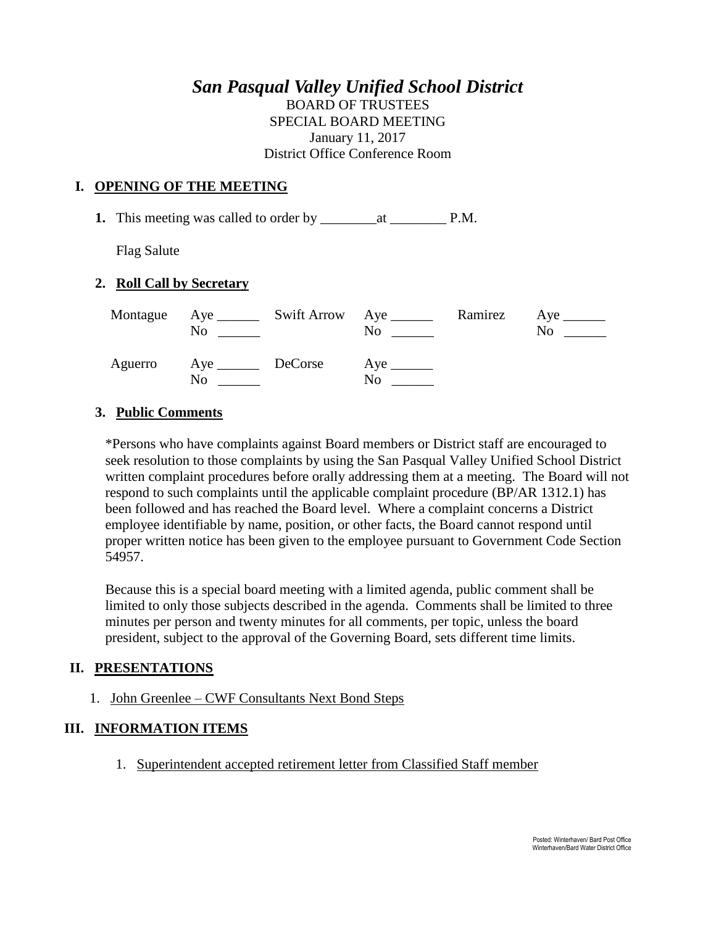# *San Pasqual Valley Unified School District*

BOARD OF TRUSTEES SPECIAL BOARD MEETING January 11, 2017 District Office Conference Room

### **I. OPENING OF THE MEETING**

**1.** This meeting was called to order by \_\_\_\_\_\_\_\_at \_\_\_\_\_\_\_\_ P.M.

Flag Salute

#### **2. Roll Call by Secretary**

| No                                | Montague Aye ________ Swift Arrow Aye _______ | N <sub>0</sub> | Ramirez Aye _______<br>No. |
|-----------------------------------|-----------------------------------------------|----------------|----------------------------|
| Aguerro Aye <u>DeCorse</u><br>No. |                                               | No             |                            |

## **3. Public Comments**

\*Persons who have complaints against Board members or District staff are encouraged to seek resolution to those complaints by using the San Pasqual Valley Unified School District written complaint procedures before orally addressing them at a meeting. The Board will not respond to such complaints until the applicable complaint procedure (BP/AR 1312.1) has been followed and has reached the Board level. Where a complaint concerns a District employee identifiable by name, position, or other facts, the Board cannot respond until proper written notice has been given to the employee pursuant to Government Code Section 54957.

Because this is a special board meeting with a limited agenda, public comment shall be limited to only those subjects described in the agenda. Comments shall be limited to three minutes per person and twenty minutes for all comments, per topic, unless the board president, subject to the approval of the Governing Board, sets different time limits.

#### **II. PRESENTATIONS**

1. John Greenlee – CWF Consultants Next Bond Steps

## **III. INFORMATION ITEMS**

1. Superintendent accepted retirement letter from Classified Staff member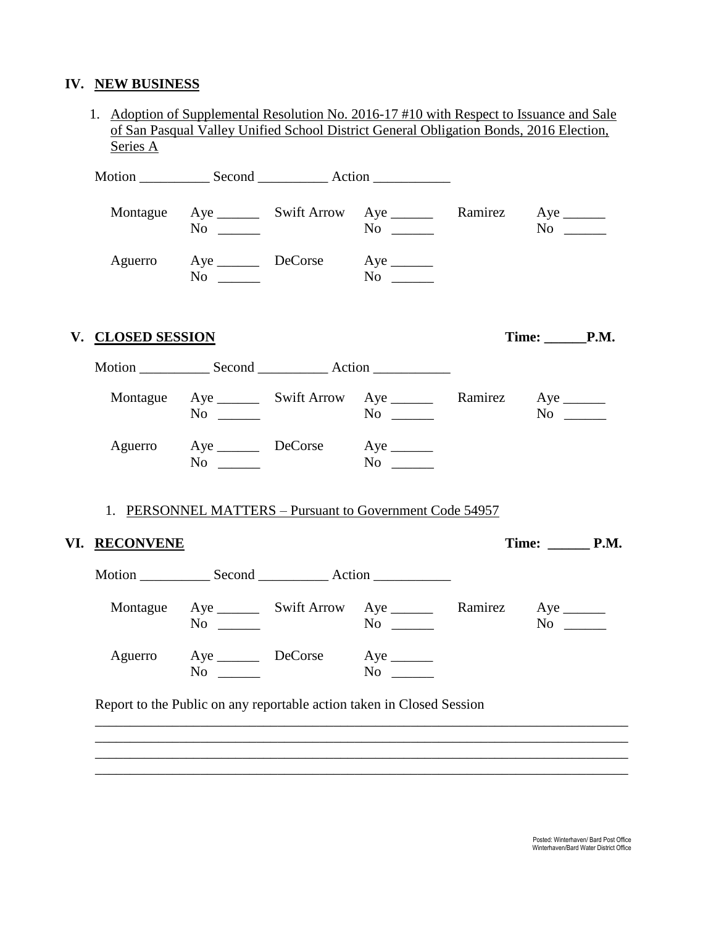# **IV. NEW BUSINESS**

| Series A          |           |                                                                                  |                              | of San Pasqual Valley Unified School District General Obligation Bonds, 2016 Election, |
|-------------------|-----------|----------------------------------------------------------------------------------|------------------------------|----------------------------------------------------------------------------------------|
|                   |           |                                                                                  |                              |                                                                                        |
|                   | $No \ \_$ | Montague Aye ________ Swift Arrow Aye _________ Ramirez Aye _______              |                              |                                                                                        |
|                   |           | Aguerro Aye DeCorse Aye ________<br>$\text{No}$ $\text{No}$ $\text{No}$          |                              |                                                                                        |
| V. CLOSED SESSION |           |                                                                                  |                              | Time: P.M.                                                                             |
|                   |           |                                                                                  |                              |                                                                                        |
|                   | $No \ \_$ | Montague Aye ________ Swift Arrow Aye ________ Ramirez Aye _______               |                              | $No \ \_$                                                                              |
|                   | $No \_$   | Aguerro Aye DeCorse Aye _______                                                  |                              |                                                                                        |
|                   |           | 1. PERSONNEL MATTERS – Pursuant to Government Code 54957                         |                              |                                                                                        |
| VI. RECONVENE     |           |                                                                                  | Time: $\_\_\_\_\_\_\_\$ P.M. |                                                                                        |
|                   |           |                                                                                  |                              |                                                                                        |
|                   |           | Montague Aye ________ Swift Arrow Aye ________ Ramirez Aye _______<br>$No \t No$ |                              | $No \ \_$                                                                              |
|                   |           | Aye DeCorse Aye                                                                  | $No \t$                      |                                                                                        |
| Aguerro           | $No \_$   |                                                                                  |                              |                                                                                        |

\_\_\_\_\_\_\_\_\_\_\_\_\_\_\_\_\_\_\_\_\_\_\_\_\_\_\_\_\_\_\_\_\_\_\_\_\_\_\_\_\_\_\_\_\_\_\_\_\_\_\_\_\_\_\_\_\_\_\_\_\_\_\_\_\_\_\_\_\_\_\_\_\_\_\_\_ \_\_\_\_\_\_\_\_\_\_\_\_\_\_\_\_\_\_\_\_\_\_\_\_\_\_\_\_\_\_\_\_\_\_\_\_\_\_\_\_\_\_\_\_\_\_\_\_\_\_\_\_\_\_\_\_\_\_\_\_\_\_\_\_\_\_\_\_\_\_\_\_\_\_\_\_